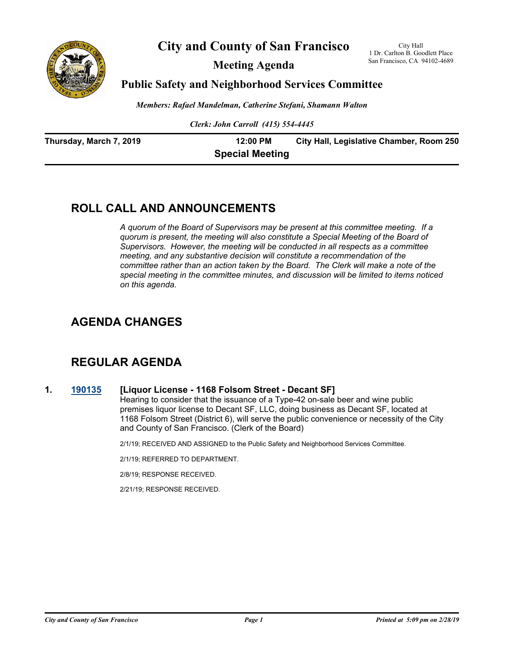

**City and County of San Francisco**

**Meeting Agenda**

City Hall 1 Dr. Carlton B. Goodlett Place San Francisco, CA 94102-4689

### **Public Safety and Neighborhood Services Committee**

*Members: Rafael Mandelman, Catherine Stefani, Shamann Walton*

*Clerk: John Carroll (415) 554-4445*

| Thursday, March 7, 2019 | 12:00 PM               | City Hall, Legislative Chamber, Room 250 |
|-------------------------|------------------------|------------------------------------------|
|                         | <b>Special Meeting</b> |                                          |

# **ROLL CALL AND ANNOUNCEMENTS**

*A quorum of the Board of Supervisors may be present at this committee meeting. If a quorum is present, the meeting will also constitute a Special Meeting of the Board of Supervisors. However, the meeting will be conducted in all respects as a committee meeting, and any substantive decision will constitute a recommendation of the committee rather than an action taken by the Board. The Clerk will make a note of the special meeting in the committee minutes, and discussion will be limited to items noticed on this agenda.*

# **AGENDA CHANGES**

# **REGULAR AGENDA**

### **1. [190135](http://sfgov.legistar.com/gateway.aspx?m=l&id=34256) [Liquor License - 1168 Folsom Street - Decant SF]**

Hearing to consider that the issuance of a Type-42 on-sale beer and wine public premises liquor license to Decant SF, LLC, doing business as Decant SF, located at 1168 Folsom Street (District 6), will serve the public convenience or necessity of the City and County of San Francisco. (Clerk of the Board)

2/1/19; RECEIVED AND ASSIGNED to the Public Safety and Neighborhood Services Committee.

2/1/19; REFERRED TO DEPARTMENT.

2/8/19; RESPONSE RECEIVED.

2/21/19; RESPONSE RECEIVED.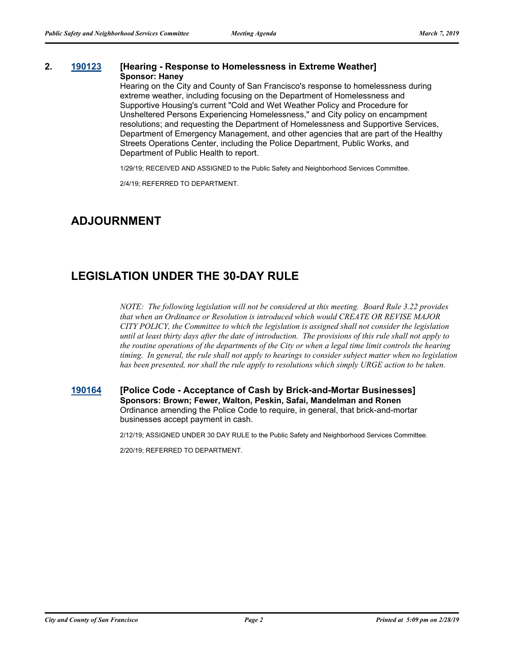#### **2. [190123](http://sfgov.legistar.com/gateway.aspx?m=l&id=34244) [Hearing - Response to Homelessness in Extreme Weather] Sponsor: Haney**

Hearing on the City and County of San Francisco's response to homelessness during extreme weather, including focusing on the Department of Homelessness and Supportive Housing's current "Cold and Wet Weather Policy and Procedure for Unsheltered Persons Experiencing Homelessness," and City policy on encampment resolutions; and requesting the Department of Homelessness and Supportive Services, Department of Emergency Management, and other agencies that are part of the Healthy Streets Operations Center, including the Police Department, Public Works, and Department of Public Health to report.

1/29/19; RECEIVED AND ASSIGNED to the Public Safety and Neighborhood Services Committee.

2/4/19; REFERRED TO DEPARTMENT.

# **ADJOURNMENT**

## **LEGISLATION UNDER THE 30-DAY RULE**

*NOTE: The following legislation will not be considered at this meeting. Board Rule 3.22 provides that when an Ordinance or Resolution is introduced which would CREATE OR REVISE MAJOR CITY POLICY, the Committee to which the legislation is assigned shall not consider the legislation until at least thirty days after the date of introduction. The provisions of this rule shall not apply to the routine operations of the departments of the City or when a legal time limit controls the hearing timing. In general, the rule shall not apply to hearings to consider subject matter when no legislation has been presented, nor shall the rule apply to resolutions which simply URGE action to be taken.*

#### **[190164](http://sfgov.legistar.com/gateway.aspx?m=l&id=34285) [Police Code - Acceptance of Cash by Brick-and-Mortar Businesses] Sponsors: Brown; Fewer, Walton, Peskin, Safai, Mandelman and Ronen** Ordinance amending the Police Code to require, in general, that brick-and-mortar businesses accept payment in cash.

2/12/19; ASSIGNED UNDER 30 DAY RULE to the Public Safety and Neighborhood Services Committee.

2/20/19; REFERRED TO DEPARTMENT.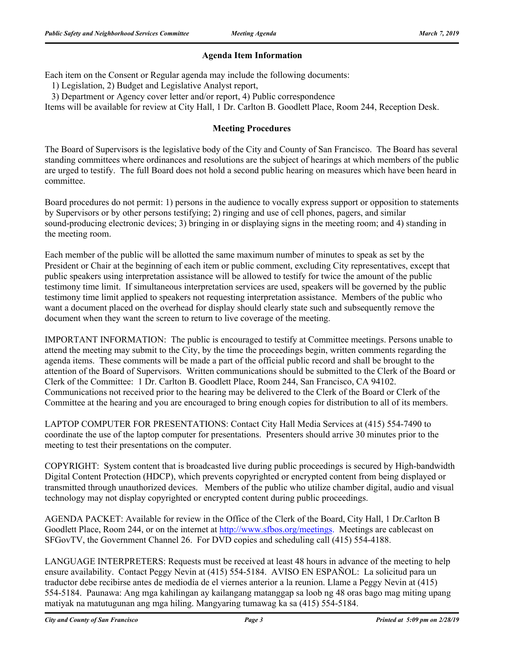### **Agenda Item Information**

Each item on the Consent or Regular agenda may include the following documents:

1) Legislation, 2) Budget and Legislative Analyst report,

3) Department or Agency cover letter and/or report, 4) Public correspondence

Items will be available for review at City Hall, 1 Dr. Carlton B. Goodlett Place, Room 244, Reception Desk.

### **Meeting Procedures**

The Board of Supervisors is the legislative body of the City and County of San Francisco. The Board has several standing committees where ordinances and resolutions are the subject of hearings at which members of the public are urged to testify. The full Board does not hold a second public hearing on measures which have been heard in committee.

Board procedures do not permit: 1) persons in the audience to vocally express support or opposition to statements by Supervisors or by other persons testifying; 2) ringing and use of cell phones, pagers, and similar sound-producing electronic devices; 3) bringing in or displaying signs in the meeting room; and 4) standing in the meeting room.

Each member of the public will be allotted the same maximum number of minutes to speak as set by the President or Chair at the beginning of each item or public comment, excluding City representatives, except that public speakers using interpretation assistance will be allowed to testify for twice the amount of the public testimony time limit. If simultaneous interpretation services are used, speakers will be governed by the public testimony time limit applied to speakers not requesting interpretation assistance. Members of the public who want a document placed on the overhead for display should clearly state such and subsequently remove the document when they want the screen to return to live coverage of the meeting.

IMPORTANT INFORMATION: The public is encouraged to testify at Committee meetings. Persons unable to attend the meeting may submit to the City, by the time the proceedings begin, written comments regarding the agenda items. These comments will be made a part of the official public record and shall be brought to the attention of the Board of Supervisors. Written communications should be submitted to the Clerk of the Board or Clerk of the Committee: 1 Dr. Carlton B. Goodlett Place, Room 244, San Francisco, CA 94102. Communications not received prior to the hearing may be delivered to the Clerk of the Board or Clerk of the Committee at the hearing and you are encouraged to bring enough copies for distribution to all of its members.

LAPTOP COMPUTER FOR PRESENTATIONS: Contact City Hall Media Services at (415) 554-7490 to coordinate the use of the laptop computer for presentations. Presenters should arrive 30 minutes prior to the meeting to test their presentations on the computer.

COPYRIGHT: System content that is broadcasted live during public proceedings is secured by High-bandwidth Digital Content Protection (HDCP), which prevents copyrighted or encrypted content from being displayed or transmitted through unauthorized devices. Members of the public who utilize chamber digital, audio and visual technology may not display copyrighted or encrypted content during public proceedings.

AGENDA PACKET: Available for review in the Office of the Clerk of the Board, City Hall, 1 Dr.Carlton B Goodlett Place, Room 244, or on the internet at http://www.sfbos.org/meetings. Meetings are cablecast on SFGovTV, the Government Channel 26. For DVD copies and scheduling call (415) 554-4188.

LANGUAGE INTERPRETERS: Requests must be received at least 48 hours in advance of the meeting to help ensure availability. Contact Peggy Nevin at (415) 554-5184. AVISO EN ESPAÑOL: La solicitud para un traductor debe recibirse antes de mediodía de el viernes anterior a la reunion. Llame a Peggy Nevin at (415) 554-5184. Paunawa: Ang mga kahilingan ay kailangang matanggap sa loob ng 48 oras bago mag miting upang matiyak na matutugunan ang mga hiling. Mangyaring tumawag ka sa (415) 554-5184.